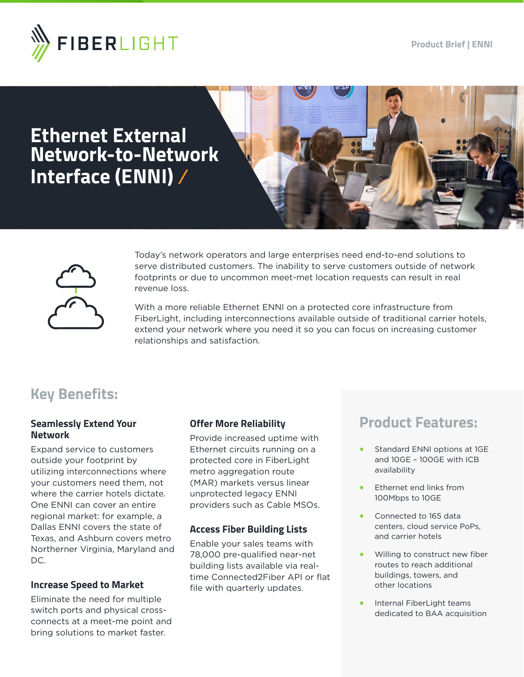

# **Ethernet External Network-to-Network Interface (ENNI)**





Today's network operators and large enterprises need end-to-end solutions to serve distributed customers. The inability to serve customers outside of network footprints or due to uncommon meet-met location requests can result in real revenue loss.

With a more reliable Ethernet ENNI on a protected core infrastructure from FiberLight, including interconnections available outside of traditional carrier hotels, extend your network where you need it so you can focus on increasing customer relationships and satisfaction.

### **Key Benefits:**

#### **Seamlessly Extend Your Network**

Expand service to customers outside your footprint by utilizing interconnections where your customers need them, not where the carrier hotels dictate. One ENNI can cover an entire regional market: for example, a Dallas ENNI covers the state of Texas, and Ashburn covers metro Northerner Virginia, Maryland and DC.

#### **Increase Speed to Market**

Eliminate the need for multiple switch ports and physical crossconnects at a meet-me point and bring solutions to market faster.

#### **Offer More Reliability**

Provide increased uptime with Ethernet circuits running on a protected core in FiberLight metro aggregation route (MAR) markets versus linear unprotected legacy ENNI providers such as Cable MSOs.

#### **Access Fiber Building Lists**

Enable your sales teams with 78,000 pre-qualified near-net building lists available via realtime Connected2Fiber API or flat file with quarterly updates.

### **Product Features:**

- Standard ENNI options at 1GE and 10GE – 100GE with ICB availability
- Ethernet end links from 100Mbps to 10GE
- Connected to 165 data centers, cloud service PoPs, and carrier hotels
- Willing to construct new fiber routes to reach additional buildings, towers, and other locations
- Internal FiberLight teams dedicated to BAA acquisition